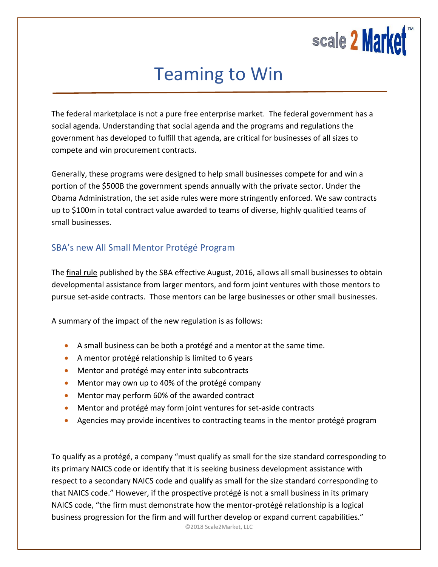

## Teaming to Win

The federal marketplace is not a pure free enterprise market. The federal government has a social agenda. Understanding that social agenda and the programs and regulations the government has developed to fulfill that agenda, are critical for businesses of all sizes to compete and win procurement contracts.

Generally, these programs were designed to help small businesses compete for and win a portion of the \$500B the government spends annually with the private sector. Under the Obama Administration, the set aside rules were more stringently enforced. We saw contracts up to \$100m in total contract value awarded to teams of diverse, highly qualitied teams of small businesses.

## SBA's new All Small Mentor Protégé Program

The [final](https://www.federalregister.gov/articles/2016/07/25/2016-16399/small-business-mentor-protege-programs) rule published by the SBA effective August, 2016, allows all small businesses to obtain developmental assistance from larger mentors, and form joint ventures with those mentors to pursue set-aside contracts. Those mentors can be large businesses or other small businesses.

A summary of the impact of the new regulation is as follows:

- A small business can be both a protégé and a mentor at the same time.
- A mentor protégé relationship is limited to 6 years
- **•** Mentor and protégé may enter into subcontracts
- Mentor may own up to 40% of the protégé company
- Mentor may perform 60% of the awarded contract
- Mentor and protégé may form joint ventures for set-aside contracts
- Agencies may provide incentives to contracting teams in the mentor protégé program

To qualify as a protégé, a company "must qualify as small for the size standard corresponding to its primary NAICS code or identify that it is seeking business development assistance with respect to a secondary NAICS code and qualify as small for the size standard corresponding to that NAICS code." However, if the prospective protégé is not a small business in its primary NAICS code, "the firm must demonstrate how the mentor-protégé relationship is a logical business progression for the firm and will further develop or expand current capabilities."

©2018 Scale2Market, LLC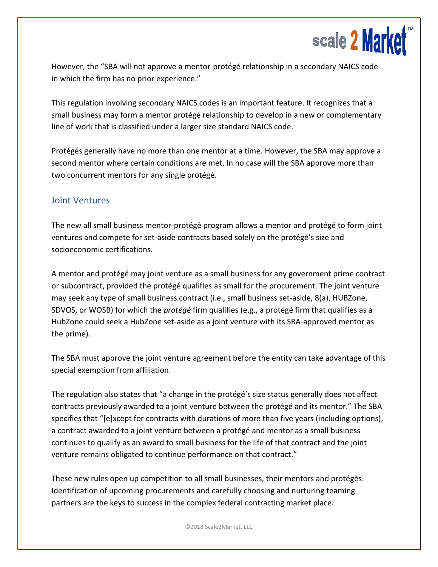

However, the "SBA will not approve a mentor-protégé relationship in a secondary NAICS code in which the firm has no prior experience."

This regulation involving secondary NAICS codes is an important feature. It recognizes that a small business may form a mentor protégé relationship to develop in a new or complementary line of work that is classified under a larger size standard NAICS code.

Protégés generally have no more than one mentor at a time. However, the SBA may approve a second mentor where certain conditions are met. In no case will the SBA approve more than two concurrent mentors for any single protégé.

## Joint Ventures

The new all small business mentor-protégé program allows a mentor and protégé to form joint ventures and compete for set-aside contracts based solely on the protégé's size and socioeconomic certifications.

A mentor and protégé may joint venture as a small business for any government prime contract or subcontract, provided the protégé qualifies as small for the procurement. The joint venture may seek any type of small business contract (i.e., small business set-aside, 8(a), HUBZone, SDVOS, or WOSB) for which the *protégé* firm qualifies (e.g., a protégé firm that qualifies as a HubZone could seek a HubZone set-aside as a joint venture with its SBA-approved mentor as the prime).

The SBA must approve the joint venture agreement before the entity can take advantage of this special exemption from affiliation.

The regulation also states that "a change in the protégé's size status generally does not affect contracts previously awarded to a joint venture between the protégé and its mentor." The SBA specifies that "[e]xcept for contracts with durations of more than five years (including options), a contract awarded to a joint venture between a protégé and mentor as a small business continues to qualify as an award to small business for the life of that contract and the joint venture remains obligated to continue performance on that contract."

These new rules open up competition to all small businesses, their mentors and protégés. Identification of upcoming procurements and carefully choosing and nurturing teaming partners are the keys to success in the complex federal contracting market place.

©2018 Scale2Market, LLC